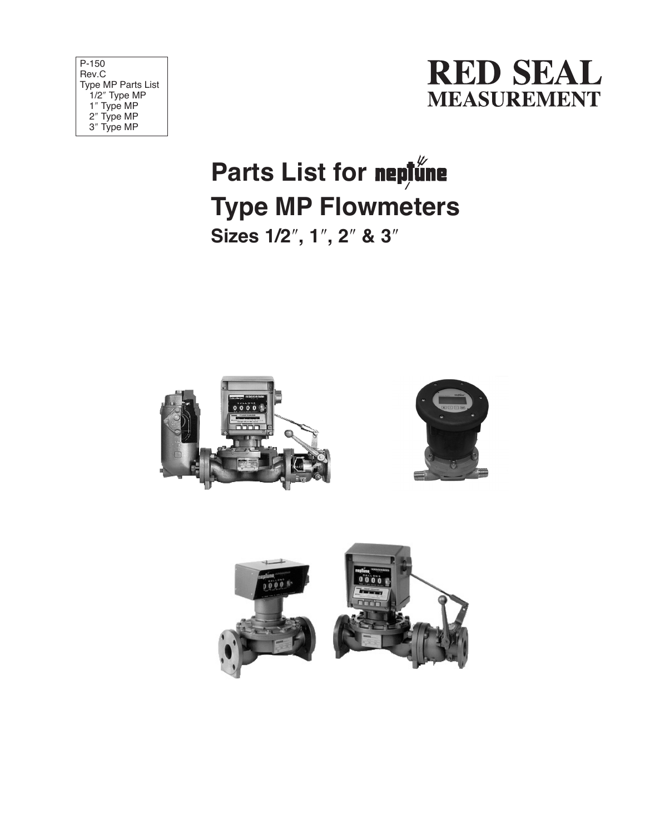| P-150                     |
|---------------------------|
| Rev.C                     |
| <b>Type MP Parts List</b> |
| 1/2" Type MP              |
| 1" Type MP                |
| 2" Type MP                |
| 3" Type MP                |



## **Parts List for Type MP Flowmeters Sizes 1/2**″**, 1**″**, 2**″ **& 3**″



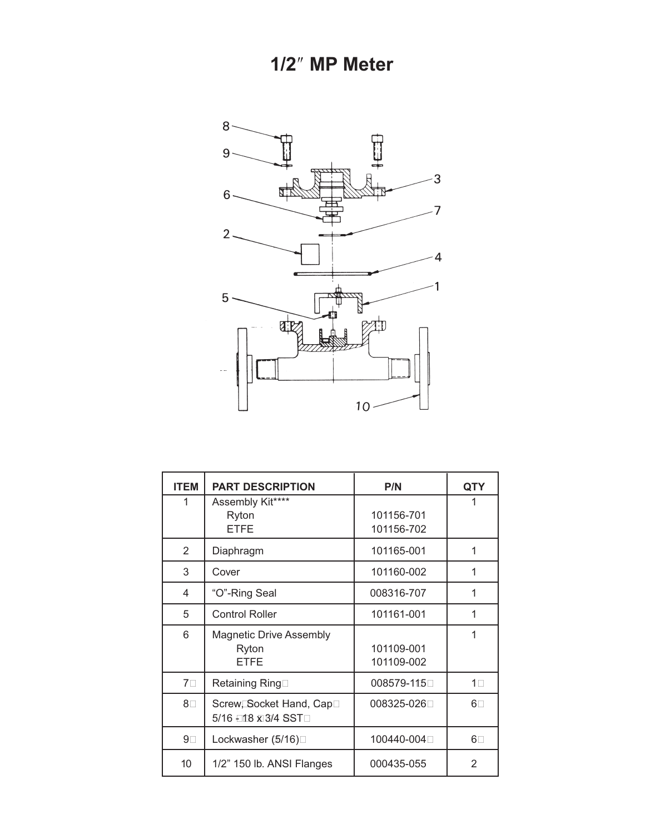**1/2**″ **MP Meter**



| <b>ITEM</b>    | <b>PART DESCRIPTION</b>                                | P/N                      | QTY            |
|----------------|--------------------------------------------------------|--------------------------|----------------|
| 1              | Assembly Kit****<br>Ryton<br><b>ETFE</b>               | 101156-701<br>101156-702 |                |
| $\overline{2}$ | Diaphragm                                              | 101165-001               | 1              |
| 3              | Cover                                                  | 101160-002               | 1              |
| 4              | "O"-Ring Seal                                          | 008316-707               |                |
| 5              | <b>Control Roller</b>                                  | 101161-001               | 1              |
| 6              | <b>Magnetic Drive Assembly</b><br>Ryton<br><b>ETFE</b> | 101109-001<br>101109-002 | 1              |
| $7\square$     | Retaining Ring□                                        | 008579-115               | 1 <sub>1</sub> |
| $8\square$     | Screw, Socket Hand, Cap□<br>5/16 - 118 x 3/4 SST□      | 008325-026□              | $6\Box$        |
| 9 <sub>1</sub> | Lockwasher (5/16)□                                     | 100440-004□              | $6\Box$        |
| 10             | 1/2" 150 lb. ANSI Flanges                              | 000435-055               | 2              |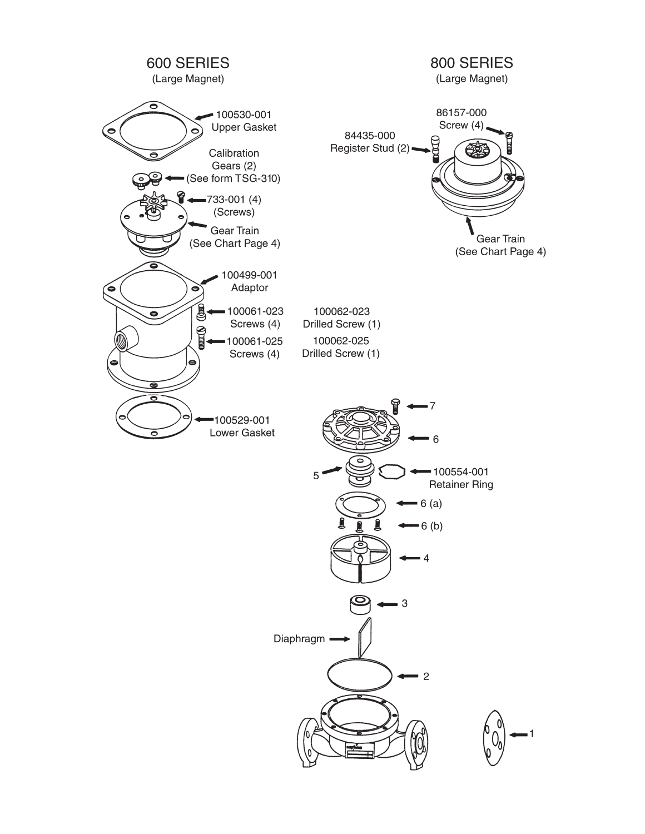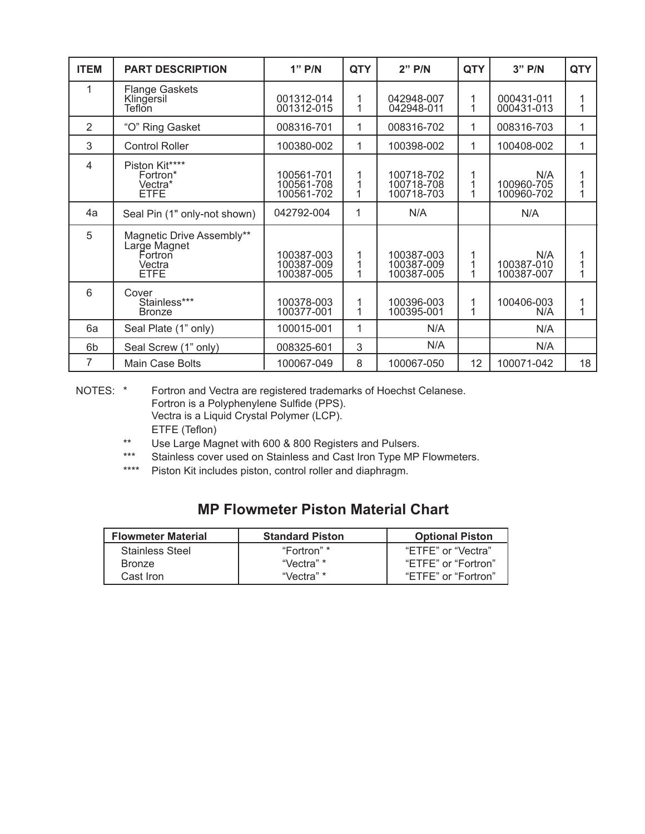| <b>ITEM</b>    | <b>PART DESCRIPTION</b>                                                | $1"$ P/N                               | <b>QTY</b>  | $2"$ P/N                               | <b>QTY</b> | $3"$ P/N                        | <b>QTY</b>  |
|----------------|------------------------------------------------------------------------|----------------------------------------|-------------|----------------------------------------|------------|---------------------------------|-------------|
|                | Flange Gaskets<br>Klingersil<br>Teflon                                 | 001312-014<br>001312-015               | 1<br>1      | 042948-007<br>042948-011               | 1          | 000431-011<br>000431-013        | 1<br>1      |
| $\overline{2}$ | "O" Ring Gasket                                                        | 008316-701                             | 1           | 008316-702                             | 1          | 008316-703                      | 1           |
| 3              | <b>Control Roller</b>                                                  | 100380-002                             | 1           | 100398-002                             | 1          | 100408-002                      | 1           |
| $\overline{4}$ | Piston Kit****<br>Fortron*<br>Vectra*<br><b>ETFE</b>                   | 100561-701<br>100561-708<br>100561-702 | 1<br>1      | 100718-702<br>100718-708<br>100718-703 |            | N/A<br>100960-705<br>100960-702 | 1<br>1<br>1 |
| 4a             | Seal Pin (1" only-not shown)                                           | 042792-004                             | 1           | N/A                                    |            | N/A                             |             |
| 5              | Magnetic Drive Assembly**<br>Large Magnet<br>Fortron<br>Vectra<br>ETFE | 100387-003<br>100387-009<br>100387-005 | 1<br>1<br>1 | 100387-003<br>100387-009<br>100387-005 |            | N/A<br>100387-010<br>100387-007 | 1<br>1<br>1 |
| 6              | Cover<br>Stainless***<br><b>Bronze</b>                                 | 100378-003<br>100377-001               | 1<br>1      | 100396-003<br>100395-001               |            | 100406-003<br>N/A               | 1<br>1      |
| 6a             | Seal Plate (1" only)                                                   | 100015-001                             | 1           | N/A                                    |            | N/A                             |             |
| 6b             | Seal Screw (1" only)                                                   | 008325-601                             | 3           | N/A                                    |            | N/A                             |             |
| 7              | Main Case Bolts                                                        | 100067-049                             | 8           | 100067-050                             | 12         | 100071-042                      | 18          |

NOTES: \* Fortron and Vectra are registered trademarks of Hoechst Celanese. Fortron is a Polyphenylene Sulfide (PPS). Vectra is a Liquid Crystal Polymer (LCP). ETFE (Teflon)

- \*\* Use Large Magnet with 600 & 800 Registers and Pulsers.<br>\*\*\* Stainless cover used on Stainless and Cast Iron Type MB
- \*\*\* Stainless cover used on Stainless and Cast Iron Type MP Flowmeters.<br>\*\*\*\* Piston Kit includes piston control roller and diaphragm
- Piston Kit includes piston, control roller and diaphragm.

## **MP Flowmeter Piston Material Chart**

| <b>Flowmeter Material</b> | <b>Standard Piston</b> | <b>Optional Piston</b> |
|---------------------------|------------------------|------------------------|
| Stainless Steel           | "Fortron" *            | "ETFE" or "Vectra"     |
| <b>Bronze</b>             | "Vectra" *             | "ETFE" or "Fortron"    |
| Cast Iron                 | "Vectra" *             | "ETFE" or "Fortron"    |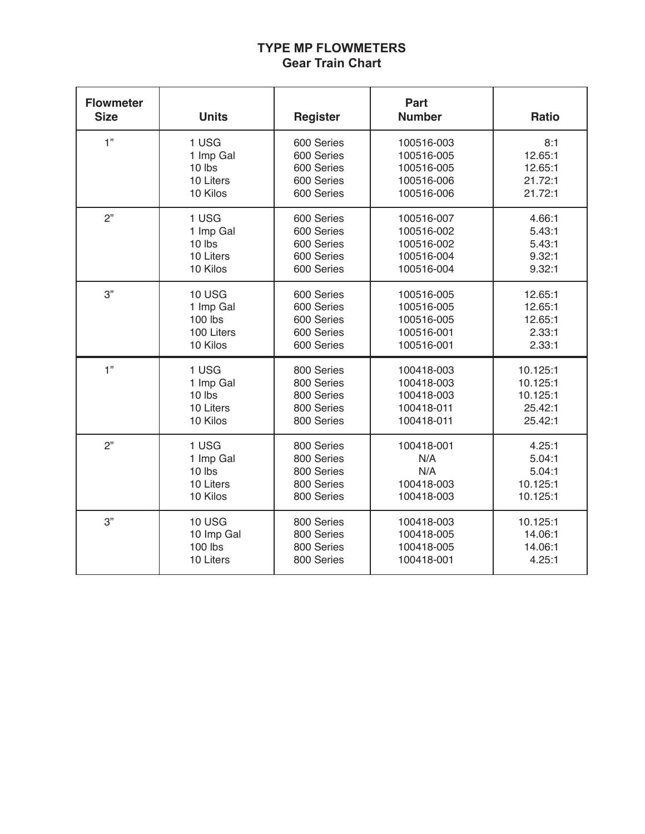## **TYPE MP FLOWMETERS Gear Train Chart**

| <b>Flowmeter</b><br><b>Size</b> | <b>Units</b>  | <b>Register</b> | Part<br><b>Number</b> | <b>Ratio</b> |
|---------------------------------|---------------|-----------------|-----------------------|--------------|
| 1"                              | 1 USG         | 600 Series      | 100516-003            | 8:1          |
|                                 | 1 Imp Gal     | 600 Series      | 100516-005            | 12.65:1      |
|                                 | 10 lbs        | 600 Series      | 100516-005            | 12.65:1      |
|                                 | 10 Liters     | 600 Series      | 100516-006            | 21.72:1      |
|                                 | 10 Kilos      | 600 Series      | 100516-006            | 21.72:1      |
| 2"                              | 1 USG         | 600 Series      | 100516-007            | 4.66:1       |
|                                 | 1 Imp Gal     | 600 Series      | 100516-002            | 5.43:1       |
|                                 | 10 lbs        | 600 Series      | 100516-002            | 5.43:1       |
|                                 | 10 Liters     | 600 Series      | 100516-004            | 9.32:1       |
|                                 | 10 Kilos      | 600 Series      | 100516-004            | 9.32:1       |
| 3"                              | <b>10 USG</b> | 600 Series      | 100516-005            | 12.65:1      |
|                                 | 1 Imp Gal     | 600 Series      | 100516-005            | 12.65:1      |
|                                 | $100$ lbs     | 600 Series      | 100516-005            | 12.65:1      |
|                                 | 100 Liters    | 600 Series      | 100516-001            | 2.33:1       |
|                                 | 10 Kilos      | 600 Series      | 100516-001            | 2.33:1       |
| 1"                              | 1 USG         | 800 Series      | 100418-003            | 10.125:1     |
|                                 | 1 Imp Gal     | 800 Series      | 100418-003            | 10.125:1     |
|                                 | 10 lbs        | 800 Series      | 100418-003            | 10.125:1     |
|                                 | 10 Liters     | 800 Series      | 100418-011            | 25.42:1      |
|                                 | 10 Kilos      | 800 Series      | 100418-011            | 25.42:1      |
| 2"                              | 1 USG         | 800 Series      | 100418-001            | 4.25:1       |
|                                 | 1 Imp Gal     | 800 Series      | N/A                   | 5.04:1       |
|                                 | 10 lbs        | 800 Series      | N/A                   | 5.04:1       |
|                                 | 10 Liters     | 800 Series      | 100418-003            | 10.125:1     |
|                                 | 10 Kilos      | 800 Series      | 100418-003            | 10.125:1     |
| 3"                              | <b>10 USG</b> | 800 Series      | 100418-003            | 10.125:1     |
|                                 | 10 Imp Gal    | 800 Series      | 100418-005            | 14.06:1      |
|                                 | 100 lbs       | 800 Series      | 100418-005            | 14.06:1      |
|                                 | 10 Liters     | 800 Series      | 100418-001            | 4.25:1       |